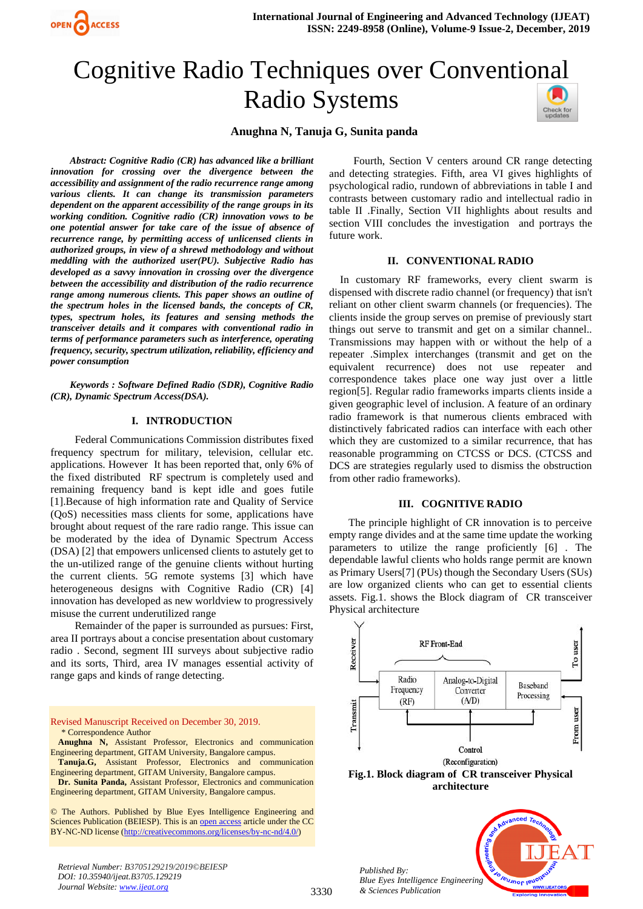

# Cognitive Radio Techniques over Conventio[nal](https://crossmark.crossref.org/dialog/?doi=10.35940/ijeat.B3705.129219&domain=www.ijeat.org)  Radio Systems



## **Anughna N, Tanuja G, Sunita panda**

*Abstract: Cognitive Radio (CR) has advanced like a brilliant innovation for crossing over the divergence between the accessibility and assignment of the radio recurrence range among various clients. It can change its transmission parameters dependent on the apparent accessibility of the range groups in its working condition. Cognitive radio (CR) innovation vows to be one potential answer for take care of the issue of absence of recurrence range, by permitting access of unlicensed clients in authorized groups, in view of a shrewd methodology and without meddling with the authorized user(PU). Subjective Radio has developed as a savvy innovation in crossing over the divergence between the accessibility and distribution of the radio recurrence range among numerous clients. This paper shows an outline of the spectrum holes in the licensed bands, the concepts of CR, types, spectrum holes, its features and sensing methods the transceiver details and it compares with conventional radio in terms of performance parameters such as interference, operating frequency, security, spectrum utilization, reliability, efficiency and power consumption*

*Keywords : Software Defined Radio (SDR), Cognitive Radio (CR), Dynamic Spectrum Access(DSA).*

#### **I. INTRODUCTION**

Federal Communications Commission distributes fixed frequency spectrum for military, television, cellular etc. applications. However It has been reported that, only 6% of the fixed distributed RF spectrum is completely used and remaining frequency band is kept idle and goes futile [1].Because of high information rate and Quality of Service (QoS) necessities mass clients for some, applications have brought about request of the rare radio range. This issue can be moderated by the idea of Dynamic Spectrum Access (DSA) [2] that empowers unlicensed clients to astutely get to the un-utilized range of the genuine clients without hurting the current clients. 5G remote systems [3] which have heterogeneous designs with Cognitive Radio (CR) [4] innovation has developed as new worldview to progressively misuse the current underutilized range

Remainder of the paper is surrounded as pursues: First, area II portrays about a concise presentation about customary radio . Second, segment III surveys about subjective radio and its sorts, Third, area IV manages essential activity of range gaps and kinds of range detecting.

Revised Manuscript Received on December 30, 2019. \* Correspondence Author **Anughna N,** Assistant Professor, Electronics and communication Engineering department, GITAM University, Bangalore campus. **Tanuja.G,** Assistant Professor, Electronics and communication Engineering department, GITAM University, Bangalore campus.

**Dr. Sunita Panda,** Assistant Professor, Electronics and communication Engineering department, GITAM University, Bangalore campus.

© The Authors. Published by Blue Eyes Intelligence Engineering and Sciences Publication (BEIESP). This is a[n open access](https://www.openaccess.nl/en/open-publications) article under the CC BY-NC-ND license [\(http://creativecommons.org/licenses/by-nc-nd/4.0/\)](http://creativecommons.org/licenses/by-nc-nd/4.0/)

*Retrieval Number: B3705129219/2019©BEIESP DOI: 10.35940/ijeat.B3705.129219 Journal Website[: www.ijeat.org](http://www.ijeat.org/)*

Fourth, Section V centers around CR range detecting and detecting strategies. Fifth, area VI gives highlights of psychological radio, rundown of abbreviations in table I and contrasts between customary radio and intellectual radio in table II .Finally, Section VII highlights about results and section VIII concludes the investigation and portrays the future work.

#### **II. CONVENTIONAL RADIO**

In customary RF frameworks, every client swarm is dispensed with discrete radio channel (or frequency) that isn't reliant on other client swarm channels (or frequencies). The clients inside the group serves on premise of previously start things out serve to transmit and get on a similar channel.. Transmissions may happen with or without the help of a repeater .Simplex interchanges (transmit and get on the equivalent recurrence) does not use repeater and correspondence takes place one way just over a little region[5]. Regular radio frameworks imparts clients inside a given geographic level of inclusion. A feature of an ordinary radio framework is that numerous clients embraced with distinctively fabricated radios can interface with each other which they are customized to a similar recurrence, that has reasonable programming on CTCSS or DCS. (CTCSS and DCS are strategies regularly used to dismiss the obstruction from other radio frameworks).

#### **III. COGNITIVE RADIO**

The principle highlight of CR innovation is to perceive empty range divides and at the same time update the working parameters to utilize the range proficiently [6] . The dependable lawful clients who holds range permit are known as Primary Users[7] (PUs) though the Secondary Users (SUs) are low organized clients who can get to essential clients assets. Fig.1. shows the Block diagram of CR transceiver Physical architecture



**architecture**

*Blue Eyes Intelligence Engineering*  **PUJNOF IEU** *& Sciences Publication* 

*Published By:*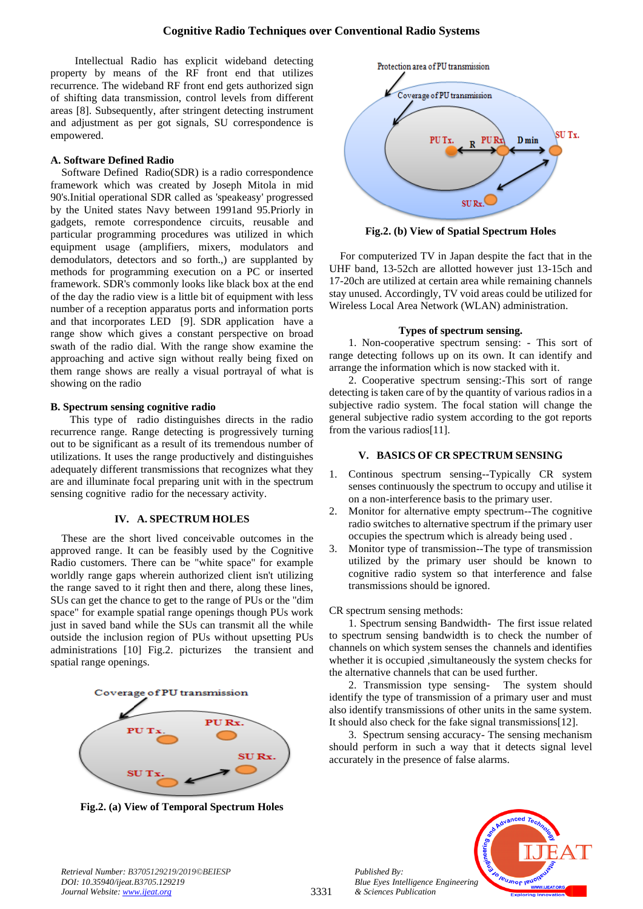Intellectual Radio has explicit wideband detecting property by means of the RF front end that utilizes recurrence. The wideband RF front end gets authorized sign of shifting data transmission, control levels from different areas [8]. Subsequently, after stringent detecting instrument and adjustment as per got signals, SU correspondence is empowered.

#### **A. Software Defined Radio**

Software Defined Radio(SDR) is a radio correspondence framework which was created by Joseph Mitola in mid 90's.Initial operational SDR called as 'speakeasy' progressed by the United states Navy between 1991and 95.Priorly in gadgets, remote correspondence circuits, reusable and particular programming procedures was utilized in which equipment usage (amplifiers, mixers, modulators and demodulators, detectors and so forth.,) are supplanted by methods for programming execution on a PC or inserted framework. SDR's commonly looks like black box at the end of the day the radio view is a little bit of equipment with less number of a reception apparatus ports and information ports and that incorporates LED [9]. SDR application have a range show which gives a constant perspective on broad swath of the radio dial. With the range show examine the approaching and active sign without really being fixed on them range shows are really a visual portrayal of what is showing on the radio

#### **B. Spectrum sensing cognitive radio**

This type of radio distinguishes directs in the radio recurrence range. Range detecting is progressively turning out to be significant as a result of its tremendous number of utilizations. It uses the range productively and distinguishes adequately different transmissions that recognizes what they are and illuminate focal preparing unit with in the spectrum sensing cognitive radio for the necessary activity.

## **IV. A. SPECTRUM HOLES**

These are the short lived conceivable outcomes in the approved range. It can be feasibly used by the Cognitive Radio customers. There can be "white space" for example worldly range gaps wherein authorized client isn't utilizing the range saved to it right then and there, along these lines, SUs can get the chance to get to the range of PUs or the "dim space" for example spatial range openings though PUs work just in saved band while the SUs can transmit all the while outside the inclusion region of PUs without upsetting PUs administrations [10] Fig.2. picturizes the transient and spatial range openings.



**Fig.2. (a) View of Temporal Spectrum Holes**



**Fig.2. (b) View of Spatial Spectrum Holes**

For computerized TV in Japan despite the fact that in the UHF band, 13-52ch are allotted however just 13-15ch and 17-20ch are utilized at certain area while remaining channels stay unused. Accordingly, TV void areas could be utilized for Wireless Local Area Network (WLAN) administration.

#### **Types of spectrum sensing.**

1. Non-cooperative spectrum sensing: - This sort of range detecting follows up on its own. It can identify and arrange the information which is now stacked with it.

2. Cooperative spectrum sensing:-This sort of range detecting is taken care of by the quantity of various radios in a subjective radio system. The focal station will change the general subjective radio system according to the got reports from the various radios[11].

## **V. BASICS OF CR SPECTRUM SENSING**

- 1. Continous spectrum sensing--Typically CR system senses continuously the spectrum to occupy and utilise it on a non-interference basis to the primary user.
- 2. Monitor for alternative empty spectrum--The cognitive radio switches to alternative spectrum if the primary user occupies the spectrum which is already being used .
- 3. Monitor type of transmission--The type of transmission utilized by the primary user should be known to cognitive radio system so that interference and false transmissions should be ignored.

## CR spectrum sensing methods:

1. Spectrum sensing Bandwidth- The first issue related to spectrum sensing bandwidth is to check the number of channels on which system senses the channels and identifies whether it is occupied ,simultaneously the system checks for the alternative channels that can be used further.

2. Transmission type sensing- The system should identify the type of transmission of a primary user and must also identify transmissions of other units in the same system. It should also check for the fake signal transmissions[12].

3. Spectrum sensing accuracy- The sensing mechanism should perform in such a way that it detects signal level accurately in the presence of false alarms.



*Published By:*

*& Sciences Publication*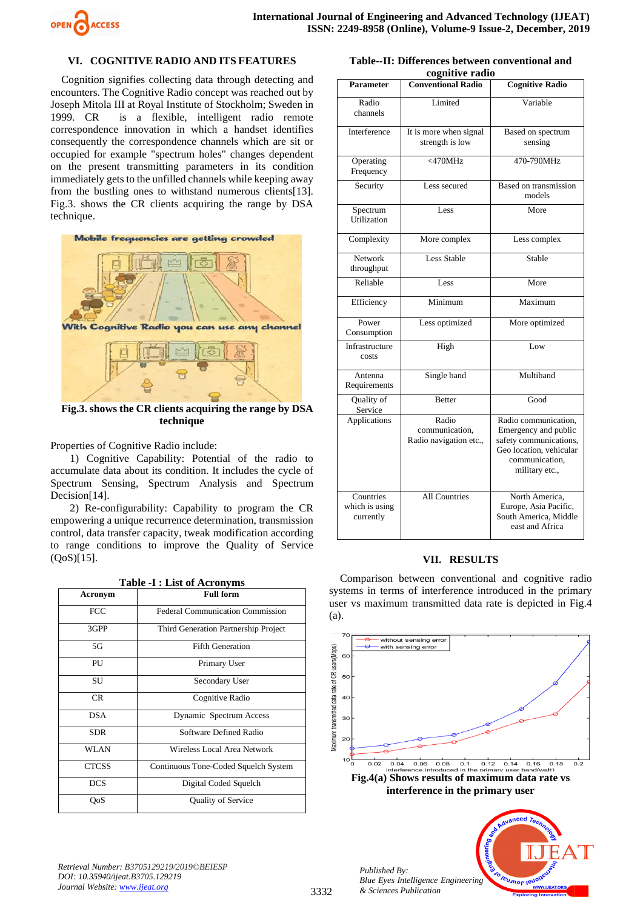

# **VI. COGNITIVE RADIO AND ITS FEATURES**

Cognition signifies collecting data through detecting and encounters. The Cognitive Radio concept was reached out by Joseph Mitola III at Royal Institute of Stockholm; Sweden in 1999. CR is a flexible, intelligent radio remote correspondence innovation in which a handset identifies consequently the correspondence channels which are sit or occupied for example "spectrum holes" changes dependent on the present transmitting parameters in its condition immediately gets to the unfilled channels while keeping away from the bustling ones to withstand numerous clients[13]. Fig.3. shows the CR clients acquiring the range by DSA technique.



**Fig.3. shows the CR clients acquiring the range by DSA technique**

Properties of Cognitive Radio include:

1) Cognitive Capability: Potential of the radio to accumulate data about its condition. It includes the cycle of Spectrum Sensing, Spectrum Analysis and Spectrum Decision[14].

2) Re-configurability: Capability to program the CR empowering a unique recurrence determination, transmission control, data transfer capacity, tweak modification according to range conditions to improve the Quality of Service (QoS)[15].

**Table -I : List of Acronyms**

| 1 apre -1 : List of Act on , ms |                                         |  |
|---------------------------------|-----------------------------------------|--|
| <b>Acronym</b>                  | <b>Full form</b>                        |  |
| <b>FCC</b>                      | <b>Federal Communication Commission</b> |  |
| 3GPP                            | Third Generation Partnership Project    |  |
| 5G                              | <b>Fifth Generation</b>                 |  |
| PU                              | Primary User                            |  |
| SU                              | Secondary User                          |  |
| <b>CR</b>                       | Cognitive Radio                         |  |
| DSA                             | Dynamic Spectrum Access                 |  |
| <b>SDR</b>                      | Software Defined Radio                  |  |
| <b>WLAN</b>                     | Wireless Local Area Network             |  |
| <b>CTCSS</b>                    | Continuous Tone-Coded Squelch System    |  |
| <b>DCS</b>                      | Digital Coded Squelch                   |  |
| QoS                             | <b>Quality of Service</b>               |  |

**Table--II: Differences between conventional and cognitive radio**

|                                          | cognitive rauno                                   |                                                                                                                                       |
|------------------------------------------|---------------------------------------------------|---------------------------------------------------------------------------------------------------------------------------------------|
| <b>Parameter</b>                         | <b>Conventional Radio</b>                         | <b>Cognitive Radio</b>                                                                                                                |
| Radio<br>channels                        | Limited                                           | Variable                                                                                                                              |
| Interference                             | It is more when signal<br>strength is low         | Based on spectrum<br>sensing                                                                                                          |
| Operating<br>Frequency                   | $<$ 470MHz                                        | 470-790MHz                                                                                                                            |
| Security                                 | Less secured                                      | Based on transmission<br>models                                                                                                       |
| Spectrum<br>Utilization                  | Less                                              | More                                                                                                                                  |
| Complexity                               | More complex                                      | Less complex                                                                                                                          |
| Network<br>throughput                    | <b>Less Stable</b>                                | Stable                                                                                                                                |
| Reliable                                 | Less                                              | More                                                                                                                                  |
| Efficiency                               | Minimum                                           | Maximum                                                                                                                               |
| Power<br>Consumption                     | Less optimized                                    | More optimized                                                                                                                        |
| Infrastructure<br>costs                  | High                                              | Low                                                                                                                                   |
| Antenna<br>Requirements                  | Single band                                       | Multiband                                                                                                                             |
| Quality of<br>Service                    | <b>Better</b>                                     | Good                                                                                                                                  |
| Applications                             | Radio<br>communication,<br>Radio navigation etc., | Radio communication,<br>Emergency and public<br>safety communications,<br>Geo location, vehicular<br>communication,<br>military etc., |
| Countries<br>which is using<br>currently | <b>All Countries</b>                              | North America,<br>Europe, Asia Pacific,<br>South America, Middle<br>east and Africa                                                   |

#### **VII. RESULTS**

Comparison between conventional and cognitive radio systems in terms of interference introduced in the primary user vs maximum transmitted data rate is depicted in Fig.4 (a).



*Published By: Blue Eyes Intelligence Engineering & Sciences Publication*